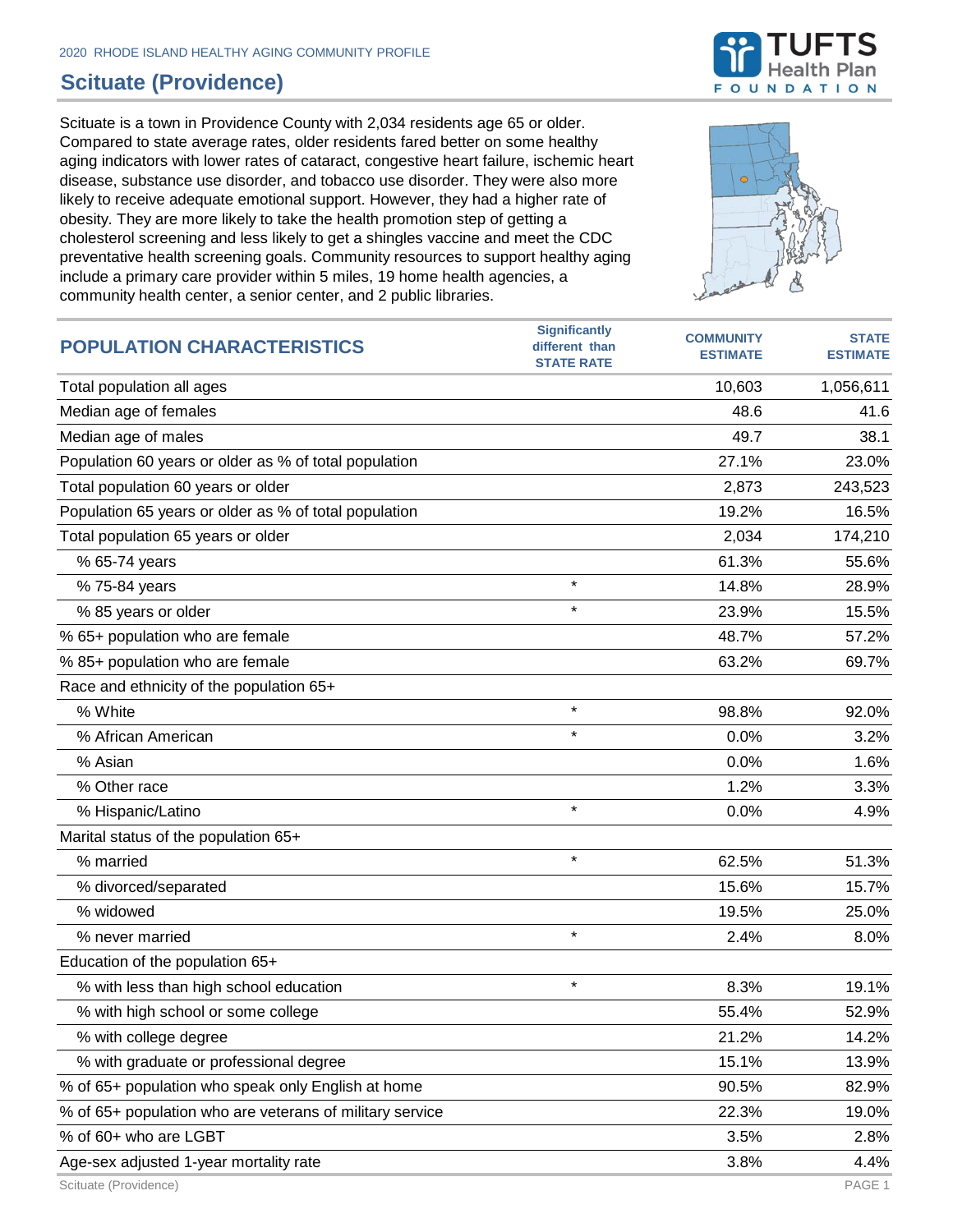## **Scituate (Providence)**

Scituate is a town in Providence County with 2,034 residents age 65 or older. Compared to state average rates, older residents fared better on some healthy aging indicators with lower rates of cataract, congestive heart failure, ischemic heart disease, substance use disorder, and tobacco use disorder. They were also more likely to receive adequate emotional support. However, they had a higher rate of obesity. They are more likely to take the health promotion step of getting a cholesterol screening and less likely to get a shingles vaccine and meet the CDC preventative health screening goals. Community resources to support healthy aging include a primary care provider within 5 miles, 19 home health agencies, a community health center, a senior center, and 2 public libraries.



| <b>POPULATION CHARACTERISTICS</b>                        | <b>Significantly</b><br>different than<br><b>STATE RATE</b> | <b>COMMUNITY</b><br><b>ESTIMATE</b> | <b>STATE</b><br><b>ESTIMATE</b> |
|----------------------------------------------------------|-------------------------------------------------------------|-------------------------------------|---------------------------------|
| Total population all ages                                |                                                             | 10,603                              | 1,056,611                       |
| Median age of females                                    |                                                             | 48.6                                | 41.6                            |
| Median age of males                                      |                                                             | 49.7                                | 38.1                            |
| Population 60 years or older as % of total population    |                                                             | 27.1%                               | 23.0%                           |
| Total population 60 years or older                       |                                                             | 2,873                               | 243,523                         |
| Population 65 years or older as % of total population    |                                                             | 19.2%                               | 16.5%                           |
| Total population 65 years or older                       |                                                             | 2,034                               | 174,210                         |
| % 65-74 years                                            |                                                             | 61.3%                               | 55.6%                           |
| % 75-84 years                                            | $\star$                                                     | 14.8%                               | 28.9%                           |
| % 85 years or older                                      | $\star$                                                     | 23.9%                               | 15.5%                           |
| % 65+ population who are female                          |                                                             | 48.7%                               | 57.2%                           |
| % 85+ population who are female                          |                                                             | 63.2%                               | 69.7%                           |
| Race and ethnicity of the population 65+                 |                                                             |                                     |                                 |
| % White                                                  | $\star$                                                     | 98.8%                               | 92.0%                           |
| % African American                                       | $\star$                                                     | 0.0%                                | 3.2%                            |
| % Asian                                                  |                                                             | 0.0%                                | 1.6%                            |
| % Other race                                             |                                                             | 1.2%                                | 3.3%                            |
| % Hispanic/Latino                                        | $\star$                                                     | 0.0%                                | 4.9%                            |
| Marital status of the population 65+                     |                                                             |                                     |                                 |
| % married                                                | $\star$                                                     | 62.5%                               | 51.3%                           |
| % divorced/separated                                     |                                                             | 15.6%                               | 15.7%                           |
| % widowed                                                |                                                             | 19.5%                               | 25.0%                           |
| % never married                                          | $\star$                                                     | 2.4%                                | 8.0%                            |
| Education of the population 65+                          |                                                             |                                     |                                 |
| % with less than high school education                   | $\star$                                                     | 8.3%                                | 19.1%                           |
| % with high school or some college                       |                                                             | 55.4%                               | 52.9%                           |
| % with college degree                                    |                                                             | 21.2%                               | 14.2%                           |
| % with graduate or professional degree                   |                                                             | 15.1%                               | 13.9%                           |
| % of 65+ population who speak only English at home       |                                                             | 90.5%                               | 82.9%                           |
| % of 65+ population who are veterans of military service |                                                             | 22.3%                               | 19.0%                           |
| % of 60+ who are LGBT                                    |                                                             | 3.5%                                | 2.8%                            |
| Age-sex adjusted 1-year mortality rate                   |                                                             | 3.8%                                | 4.4%                            |

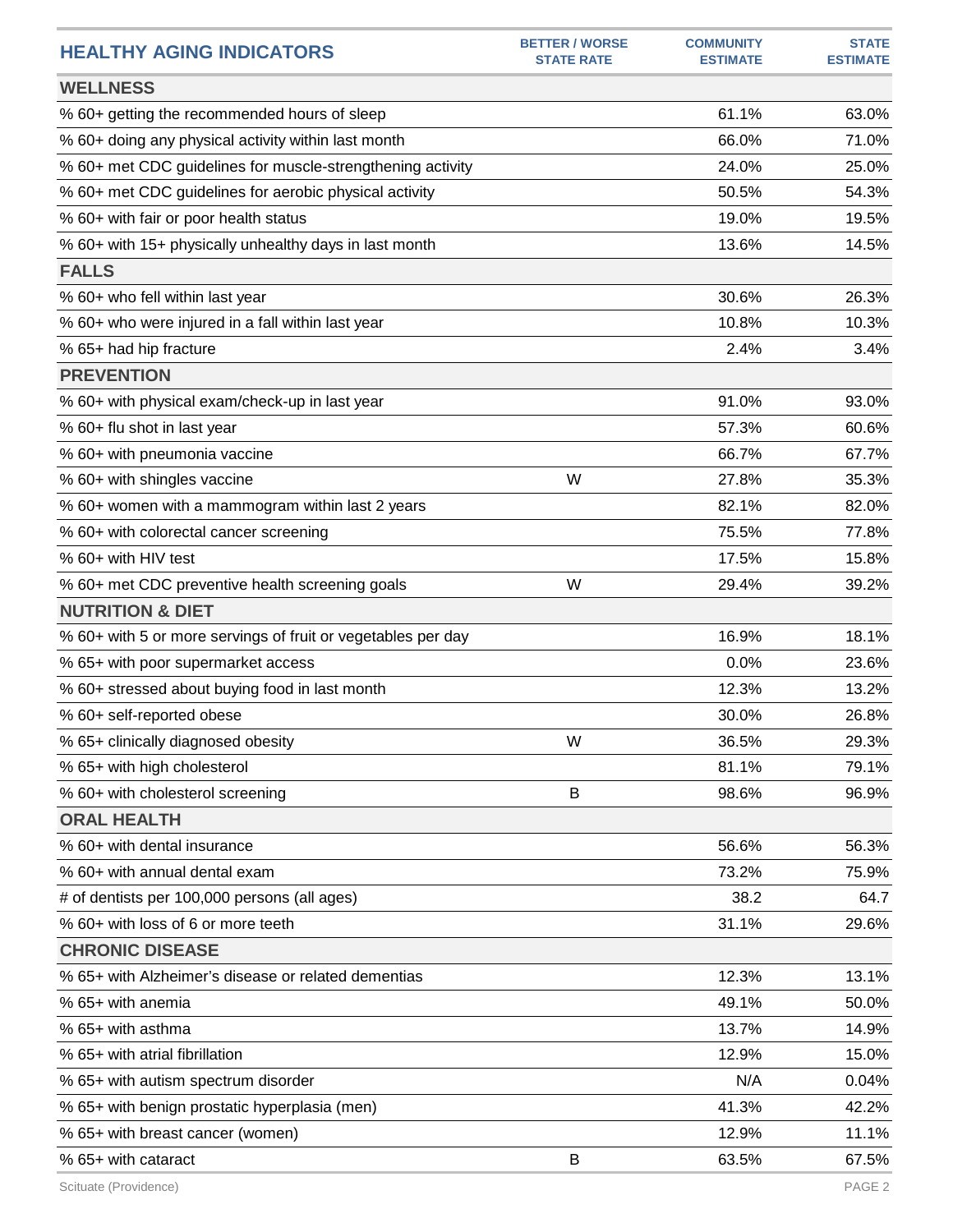| <b>HEALTHY AGING INDICATORS</b>                              | <b>BETTER / WORSE</b><br><b>STATE RATE</b> | <b>COMMUNITY</b><br><b>ESTIMATE</b> | <b>STATE</b><br><b>ESTIMATE</b> |
|--------------------------------------------------------------|--------------------------------------------|-------------------------------------|---------------------------------|
| <b>WELLNESS</b>                                              |                                            |                                     |                                 |
| % 60+ getting the recommended hours of sleep                 |                                            | 61.1%                               | 63.0%                           |
| % 60+ doing any physical activity within last month          |                                            | 66.0%                               | 71.0%                           |
| % 60+ met CDC guidelines for muscle-strengthening activity   |                                            | 24.0%                               | 25.0%                           |
| % 60+ met CDC guidelines for aerobic physical activity       |                                            | 50.5%                               | 54.3%                           |
| % 60+ with fair or poor health status                        |                                            | 19.0%                               | 19.5%                           |
| % 60+ with 15+ physically unhealthy days in last month       |                                            | 13.6%                               | 14.5%                           |
| <b>FALLS</b>                                                 |                                            |                                     |                                 |
| % 60+ who fell within last year                              |                                            | 30.6%                               | 26.3%                           |
| % 60+ who were injured in a fall within last year            |                                            | 10.8%                               | 10.3%                           |
| % 65+ had hip fracture                                       |                                            | 2.4%                                | 3.4%                            |
| <b>PREVENTION</b>                                            |                                            |                                     |                                 |
| % 60+ with physical exam/check-up in last year               |                                            | 91.0%                               | 93.0%                           |
| % 60+ flu shot in last year                                  |                                            | 57.3%                               | 60.6%                           |
| % 60+ with pneumonia vaccine                                 |                                            | 66.7%                               | 67.7%                           |
| % 60+ with shingles vaccine                                  | W                                          | 27.8%                               | 35.3%                           |
| % 60+ women with a mammogram within last 2 years             |                                            | 82.1%                               | 82.0%                           |
| % 60+ with colorectal cancer screening                       |                                            | 75.5%                               | 77.8%                           |
| % 60+ with HIV test                                          |                                            | 17.5%                               | 15.8%                           |
| % 60+ met CDC preventive health screening goals              | W                                          | 29.4%                               | 39.2%                           |
| <b>NUTRITION &amp; DIET</b>                                  |                                            |                                     |                                 |
| % 60+ with 5 or more servings of fruit or vegetables per day |                                            | 16.9%                               | 18.1%                           |
| % 65+ with poor supermarket access                           |                                            | 0.0%                                | 23.6%                           |
| % 60+ stressed about buying food in last month               |                                            | 12.3%                               | 13.2%                           |
| % 60+ self-reported obese                                    |                                            | 30.0%                               | 26.8%                           |
| % 65+ clinically diagnosed obesity                           | W                                          | 36.5%                               | 29.3%                           |
| % 65+ with high cholesterol                                  |                                            | 81.1%                               | 79.1%                           |
| % 60+ with cholesterol screening                             | B                                          | 98.6%                               | 96.9%                           |
| <b>ORAL HEALTH</b>                                           |                                            |                                     |                                 |
| % 60+ with dental insurance                                  |                                            | 56.6%                               | 56.3%                           |
| % 60+ with annual dental exam                                |                                            | 73.2%                               | 75.9%                           |
| # of dentists per 100,000 persons (all ages)                 |                                            | 38.2                                | 64.7                            |
| % 60+ with loss of 6 or more teeth                           |                                            | 31.1%                               | 29.6%                           |
| <b>CHRONIC DISEASE</b>                                       |                                            |                                     |                                 |
| % 65+ with Alzheimer's disease or related dementias          |                                            | 12.3%                               | 13.1%                           |
| % 65+ with anemia                                            |                                            | 49.1%                               | 50.0%                           |
| % 65+ with asthma                                            |                                            | 13.7%                               | 14.9%                           |
| % 65+ with atrial fibrillation                               |                                            | 12.9%                               | 15.0%                           |
| % 65+ with autism spectrum disorder                          |                                            | N/A                                 | 0.04%                           |
| % 65+ with benign prostatic hyperplasia (men)                |                                            | 41.3%                               | 42.2%                           |
| % 65+ with breast cancer (women)                             |                                            | 12.9%                               | 11.1%                           |
| % 65+ with cataract                                          | B                                          | 63.5%                               | 67.5%                           |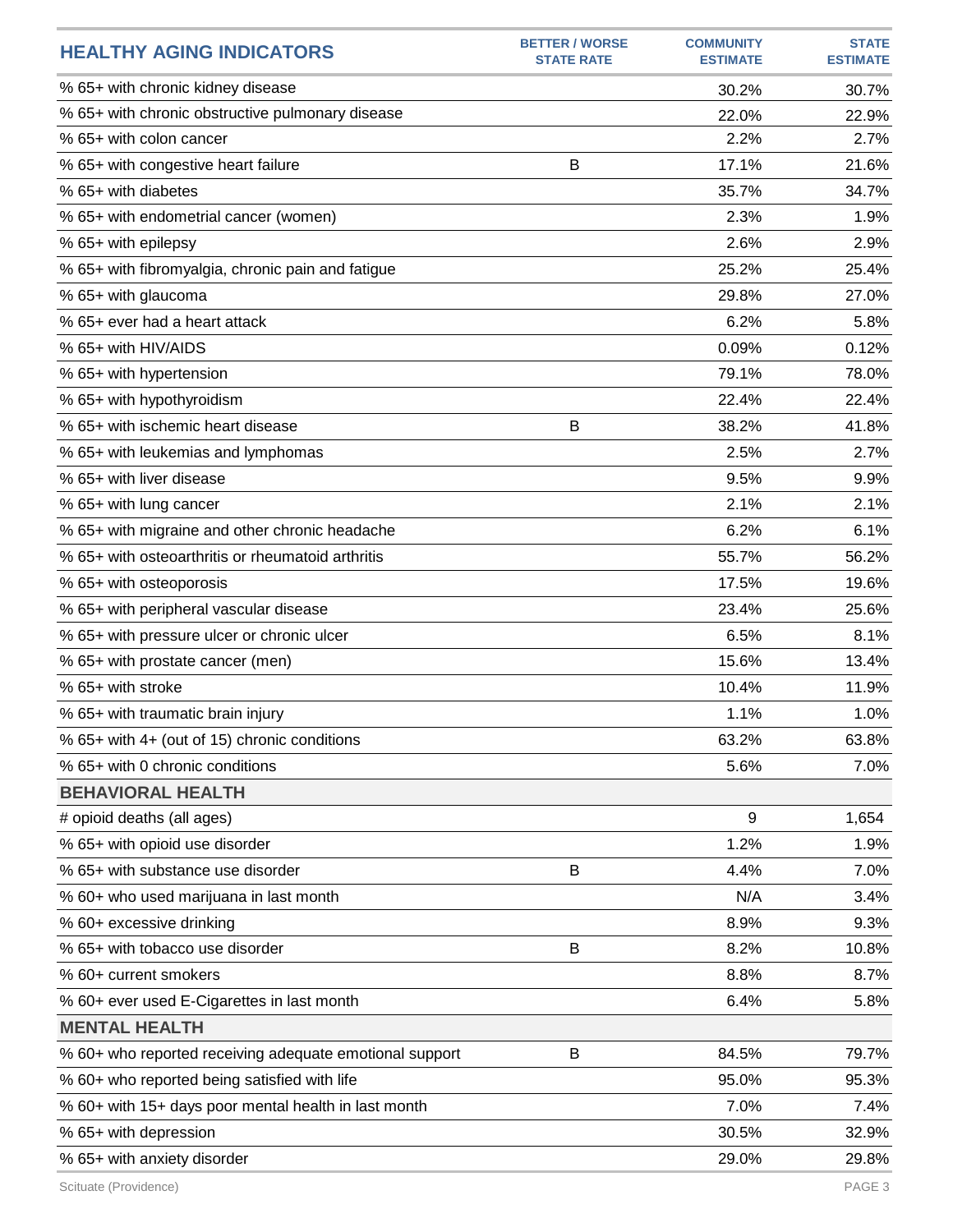| <b>HEALTHY AGING INDICATORS</b>                         | <b>BETTER / WORSE</b><br><b>STATE RATE</b> | <b>COMMUNITY</b><br><b>ESTIMATE</b> | <b>STATE</b><br><b>ESTIMATE</b> |
|---------------------------------------------------------|--------------------------------------------|-------------------------------------|---------------------------------|
| % 65+ with chronic kidney disease                       |                                            | 30.2%                               | 30.7%                           |
| % 65+ with chronic obstructive pulmonary disease        |                                            | 22.0%                               | 22.9%                           |
| % 65+ with colon cancer                                 |                                            | 2.2%                                | 2.7%                            |
| % 65+ with congestive heart failure                     | B                                          | 17.1%                               | 21.6%                           |
| % 65+ with diabetes                                     |                                            | 35.7%                               | 34.7%                           |
| % 65+ with endometrial cancer (women)                   |                                            | 2.3%                                | 1.9%                            |
| % 65+ with epilepsy                                     |                                            | 2.6%                                | 2.9%                            |
| % 65+ with fibromyalgia, chronic pain and fatigue       |                                            | 25.2%                               | 25.4%                           |
| % 65+ with glaucoma                                     |                                            | 29.8%                               | 27.0%                           |
| % 65+ ever had a heart attack                           |                                            | 6.2%                                | 5.8%                            |
| % 65+ with HIV/AIDS                                     |                                            | 0.09%                               | 0.12%                           |
| % 65+ with hypertension                                 |                                            | 79.1%                               | 78.0%                           |
| % 65+ with hypothyroidism                               |                                            | 22.4%                               | 22.4%                           |
| % 65+ with ischemic heart disease                       | В                                          | 38.2%                               | 41.8%                           |
| % 65+ with leukemias and lymphomas                      |                                            | 2.5%                                | 2.7%                            |
| % 65+ with liver disease                                |                                            | 9.5%                                | 9.9%                            |
| % 65+ with lung cancer                                  |                                            | 2.1%                                | 2.1%                            |
| % 65+ with migraine and other chronic headache          |                                            | 6.2%                                | 6.1%                            |
| % 65+ with osteoarthritis or rheumatoid arthritis       |                                            | 55.7%                               | 56.2%                           |
| % 65+ with osteoporosis                                 |                                            | 17.5%                               | 19.6%                           |
| % 65+ with peripheral vascular disease                  |                                            | 23.4%                               | 25.6%                           |
| % 65+ with pressure ulcer or chronic ulcer              |                                            | 6.5%                                | 8.1%                            |
| % 65+ with prostate cancer (men)                        |                                            | 15.6%                               | 13.4%                           |
| % 65+ with stroke                                       |                                            | 10.4%                               | 11.9%                           |
| % 65+ with traumatic brain injury                       |                                            | 1.1%                                | 1.0%                            |
| % 65+ with 4+ (out of 15) chronic conditions            |                                            | 63.2%                               | 63.8%                           |
| % 65+ with 0 chronic conditions                         |                                            | 5.6%                                | 7.0%                            |
| <b>BEHAVIORAL HEALTH</b>                                |                                            |                                     |                                 |
| # opioid deaths (all ages)                              |                                            | 9                                   | 1,654                           |
| % 65+ with opioid use disorder                          |                                            | 1.2%                                | 1.9%                            |
| % 65+ with substance use disorder                       | B                                          | 4.4%                                | 7.0%                            |
| % 60+ who used marijuana in last month                  |                                            | N/A                                 | 3.4%                            |
| % 60+ excessive drinking                                |                                            | 8.9%                                | 9.3%                            |
| % 65+ with tobacco use disorder                         | B                                          | 8.2%                                | 10.8%                           |
| % 60+ current smokers                                   |                                            | 8.8%                                | 8.7%                            |
| % 60+ ever used E-Cigarettes in last month              |                                            | 6.4%                                | 5.8%                            |
| <b>MENTAL HEALTH</b>                                    |                                            |                                     |                                 |
| % 60+ who reported receiving adequate emotional support | B                                          | 84.5%                               | 79.7%                           |
| % 60+ who reported being satisfied with life            |                                            | 95.0%                               | 95.3%                           |
| % 60+ with 15+ days poor mental health in last month    |                                            | 7.0%                                | 7.4%                            |
| % 65+ with depression                                   |                                            | 30.5%                               | 32.9%                           |
| % 65+ with anxiety disorder                             |                                            | 29.0%                               | 29.8%                           |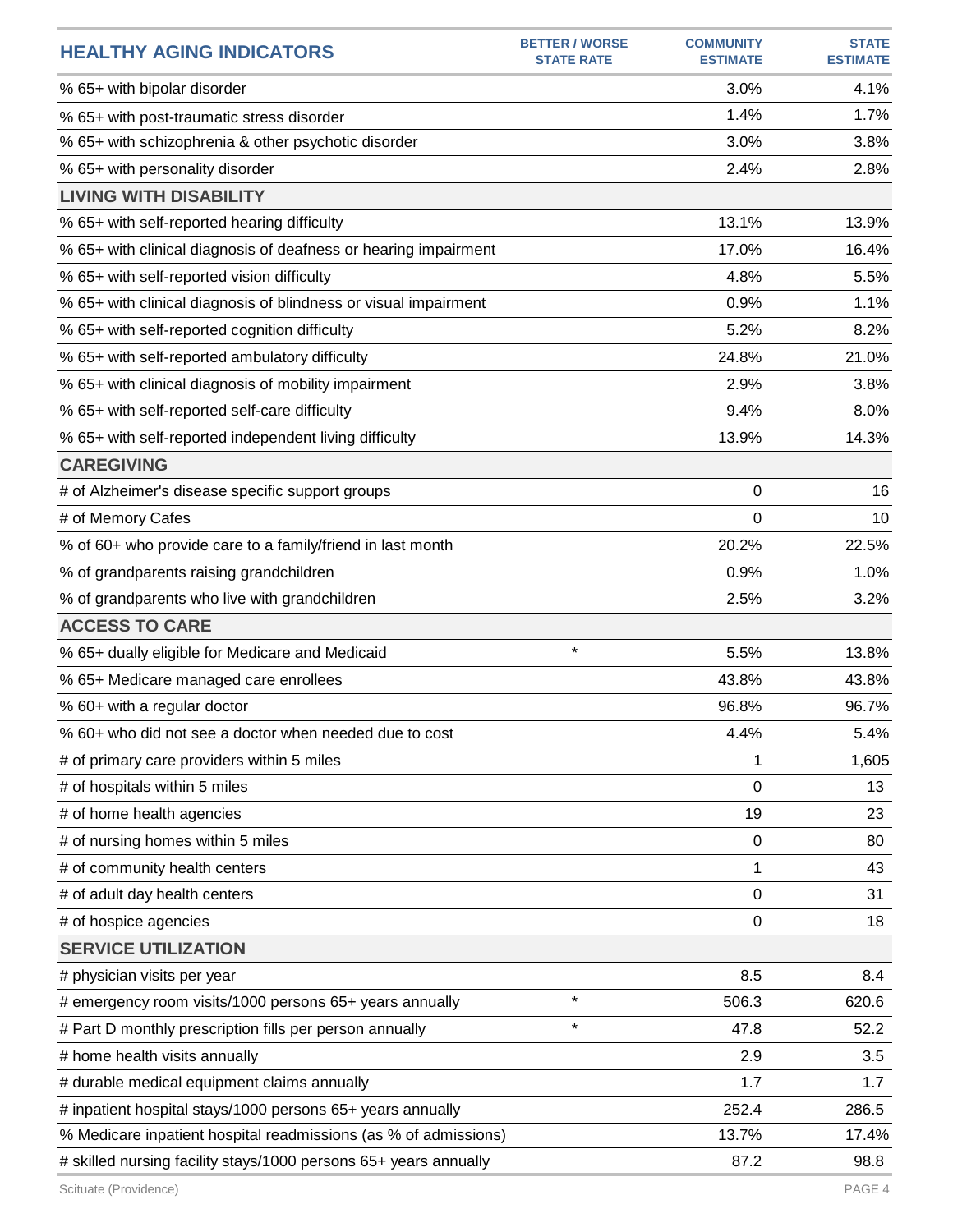| <b>HEALTHY AGING INDICATORS</b>                                  | <b>BETTER / WORSE</b><br><b>STATE RATE</b> | <b>COMMUNITY</b><br><b>ESTIMATE</b> | <b>STATE</b><br><b>ESTIMATE</b> |
|------------------------------------------------------------------|--------------------------------------------|-------------------------------------|---------------------------------|
| % 65+ with bipolar disorder                                      |                                            | 3.0%                                | 4.1%                            |
| % 65+ with post-traumatic stress disorder                        |                                            | 1.4%                                | 1.7%                            |
| % 65+ with schizophrenia & other psychotic disorder              |                                            | 3.0%                                | 3.8%                            |
| % 65+ with personality disorder                                  |                                            | 2.4%                                | 2.8%                            |
| <b>LIVING WITH DISABILITY</b>                                    |                                            |                                     |                                 |
| % 65+ with self-reported hearing difficulty                      |                                            | 13.1%                               | 13.9%                           |
| % 65+ with clinical diagnosis of deafness or hearing impairment  |                                            | 17.0%                               | 16.4%                           |
| % 65+ with self-reported vision difficulty                       |                                            | 4.8%                                | 5.5%                            |
| % 65+ with clinical diagnosis of blindness or visual impairment  |                                            | 0.9%                                | 1.1%                            |
| % 65+ with self-reported cognition difficulty                    |                                            | 5.2%                                | 8.2%                            |
| % 65+ with self-reported ambulatory difficulty                   |                                            | 24.8%                               | 21.0%                           |
| % 65+ with clinical diagnosis of mobility impairment             |                                            | 2.9%                                | 3.8%                            |
| % 65+ with self-reported self-care difficulty                    |                                            | 9.4%                                | 8.0%                            |
| % 65+ with self-reported independent living difficulty           |                                            | 13.9%                               | 14.3%                           |
| <b>CAREGIVING</b>                                                |                                            |                                     |                                 |
| # of Alzheimer's disease specific support groups                 |                                            | 0                                   | 16                              |
| # of Memory Cafes                                                |                                            | 0                                   | 10                              |
| % of 60+ who provide care to a family/friend in last month       |                                            | 20.2%                               | 22.5%                           |
| % of grandparents raising grandchildren                          |                                            | 0.9%                                | 1.0%                            |
| % of grandparents who live with grandchildren                    |                                            | 2.5%                                | 3.2%                            |
| <b>ACCESS TO CARE</b>                                            |                                            |                                     |                                 |
| % 65+ dually eligible for Medicare and Medicaid                  | $\star$                                    | 5.5%                                | 13.8%                           |
| % 65+ Medicare managed care enrollees                            |                                            | 43.8%                               | 43.8%                           |
| % 60+ with a regular doctor                                      |                                            | 96.8%                               | 96.7%                           |
| % 60+ who did not see a doctor when needed due to cost           |                                            | 4.4%                                | 5.4%                            |
| # of primary care providers within 5 miles                       |                                            | 1                                   | 1,605                           |
| # of hospitals within 5 miles                                    |                                            | 0                                   | 13                              |
| # of home health agencies                                        |                                            | 19                                  | 23                              |
| # of nursing homes within 5 miles                                |                                            | $\boldsymbol{0}$                    | 80                              |
| # of community health centers                                    |                                            | 1                                   | 43                              |
| # of adult day health centers                                    |                                            | 0                                   | 31                              |
| # of hospice agencies                                            |                                            | 0                                   | 18                              |
| <b>SERVICE UTILIZATION</b>                                       |                                            |                                     |                                 |
| # physician visits per year                                      |                                            | 8.5                                 | 8.4                             |
| # emergency room visits/1000 persons 65+ years annually          | $\star$                                    | 506.3                               | 620.6                           |
| # Part D monthly prescription fills per person annually          | $\star$                                    | 47.8                                | 52.2                            |
| # home health visits annually                                    |                                            | 2.9                                 | 3.5                             |
| # durable medical equipment claims annually                      |                                            | 1.7                                 | 1.7                             |
| # inpatient hospital stays/1000 persons 65+ years annually       |                                            | 252.4                               | 286.5                           |
| % Medicare inpatient hospital readmissions (as % of admissions)  |                                            | 13.7%                               | 17.4%                           |
| # skilled nursing facility stays/1000 persons 65+ years annually |                                            | 87.2                                | 98.8                            |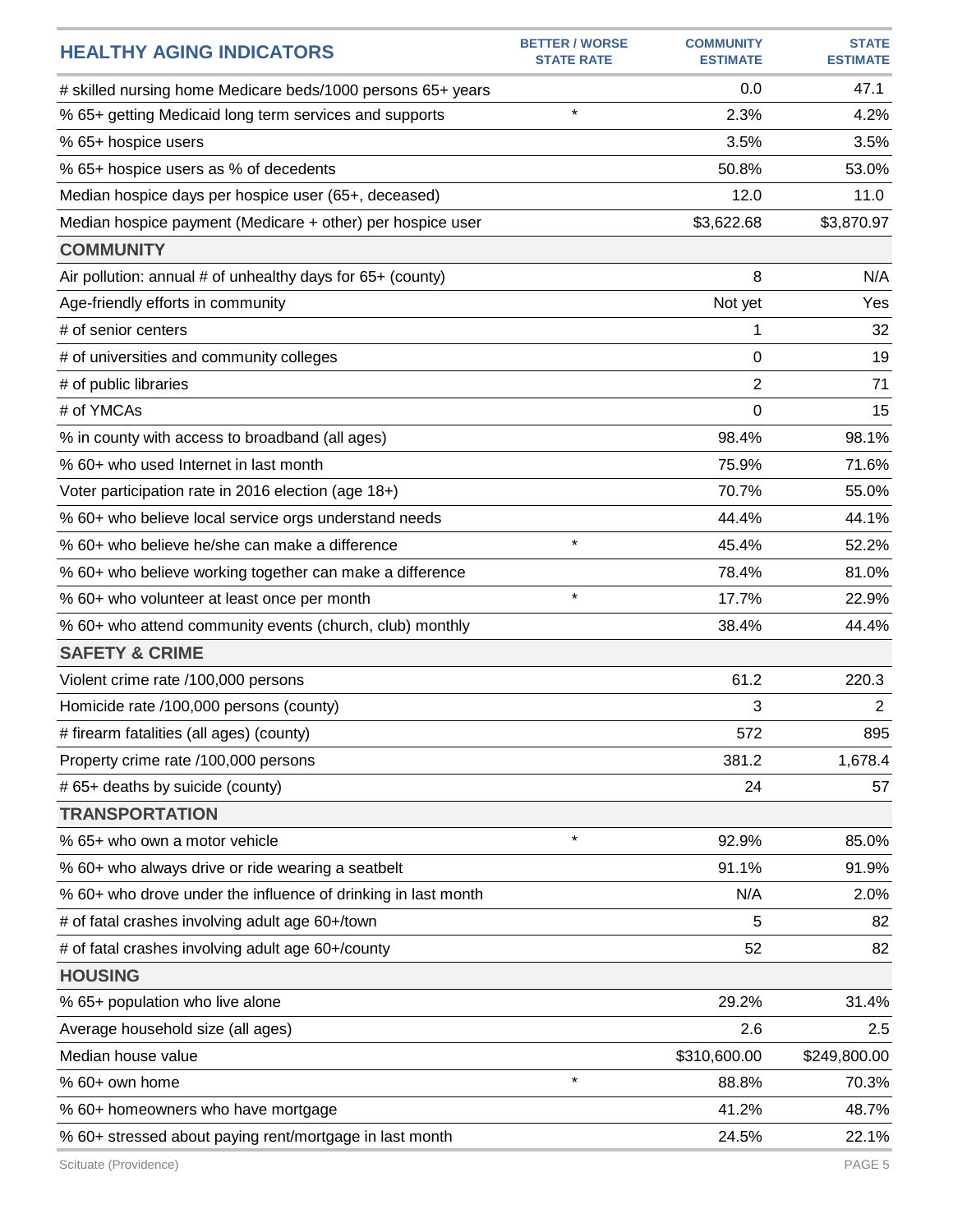| <b>HEALTHY AGING INDICATORS</b>                               | <b>BETTER / WORSE</b><br><b>STATE RATE</b> | <b>COMMUNITY</b><br><b>ESTIMATE</b> | <b>STATE</b><br><b>ESTIMATE</b> |
|---------------------------------------------------------------|--------------------------------------------|-------------------------------------|---------------------------------|
| # skilled nursing home Medicare beds/1000 persons 65+ years   |                                            | 0.0                                 | 47.1                            |
| % 65+ getting Medicaid long term services and supports        | $\star$                                    | 2.3%                                | 4.2%                            |
| % 65+ hospice users                                           |                                            | 3.5%                                | 3.5%                            |
| % 65+ hospice users as % of decedents                         |                                            | 50.8%                               | 53.0%                           |
| Median hospice days per hospice user (65+, deceased)          |                                            | 12.0                                | 11.0                            |
| Median hospice payment (Medicare + other) per hospice user    |                                            | \$3,622.68                          | \$3,870.97                      |
| <b>COMMUNITY</b>                                              |                                            |                                     |                                 |
| Air pollution: annual # of unhealthy days for 65+ (county)    |                                            | 8                                   | N/A                             |
| Age-friendly efforts in community                             |                                            | Not yet                             | Yes                             |
| # of senior centers                                           |                                            | 1                                   | 32                              |
| # of universities and community colleges                      |                                            | 0                                   | 19                              |
| # of public libraries                                         |                                            | 2                                   | 71                              |
| # of YMCAs                                                    |                                            | 0                                   | 15                              |
| % in county with access to broadband (all ages)               |                                            | 98.4%                               | 98.1%                           |
| % 60+ who used Internet in last month                         |                                            | 75.9%                               | 71.6%                           |
| Voter participation rate in 2016 election (age 18+)           |                                            | 70.7%                               | 55.0%                           |
| % 60+ who believe local service orgs understand needs         |                                            | 44.4%                               | 44.1%                           |
| % 60+ who believe he/she can make a difference                | $\star$                                    | 45.4%                               | 52.2%                           |
| % 60+ who believe working together can make a difference      |                                            | 78.4%                               | 81.0%                           |
| % 60+ who volunteer at least once per month                   | $\star$                                    | 17.7%                               | 22.9%                           |
| % 60+ who attend community events (church, club) monthly      |                                            | 38.4%                               | 44.4%                           |
| <b>SAFETY &amp; CRIME</b>                                     |                                            |                                     |                                 |
| Violent crime rate /100,000 persons                           |                                            | 61.2                                | 220.3                           |
| Homicide rate /100,000 persons (county)                       |                                            | 3                                   | $\overline{2}$                  |
| # firearm fatalities (all ages) (county)                      |                                            | 572                                 | 895                             |
| Property crime rate /100,000 persons                          |                                            | 381.2                               | 1,678.4                         |
| # 65+ deaths by suicide (county)                              |                                            | 24                                  | 57                              |
| <b>TRANSPORTATION</b>                                         |                                            |                                     |                                 |
| % 65+ who own a motor vehicle                                 | $\star$                                    | 92.9%                               | 85.0%                           |
| % 60+ who always drive or ride wearing a seatbelt             |                                            | 91.1%                               | 91.9%                           |
| % 60+ who drove under the influence of drinking in last month |                                            | N/A                                 | 2.0%                            |
| # of fatal crashes involving adult age 60+/town               |                                            | 5                                   | 82                              |
| # of fatal crashes involving adult age 60+/county             |                                            | 52                                  | 82                              |
| <b>HOUSING</b>                                                |                                            |                                     |                                 |
| % 65+ population who live alone                               |                                            | 29.2%                               | 31.4%                           |
| Average household size (all ages)                             |                                            | 2.6                                 | 2.5                             |
| Median house value                                            |                                            | \$310,600.00                        | \$249,800.00                    |
| % 60+ own home                                                | $\star$                                    | 88.8%                               | 70.3%                           |
| % 60+ homeowners who have mortgage                            |                                            | 41.2%                               | 48.7%                           |
| % 60+ stressed about paying rent/mortgage in last month       |                                            | 24.5%                               | 22.1%                           |